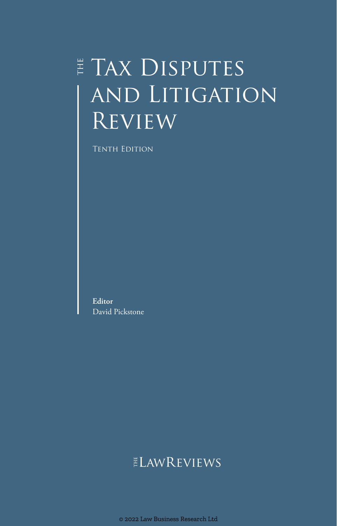# $\sharp$  TAX DISPUTES and Litigation Review

Tenth Edition

**Editor** David Pickstone

## ELAWREVIEWS

© 2022 Law Business Research Ltd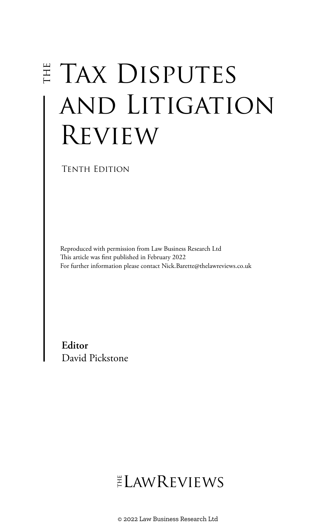# E TAX DISPUTES and Litigation Review

Tenth Edition

Reproduced with permission from Law Business Research Ltd This article was first published in February 2022 For further information please contact Nick.Barette@thelawreviews.co.uk

**Editor** David Pickstone

# ELAWREVIEWS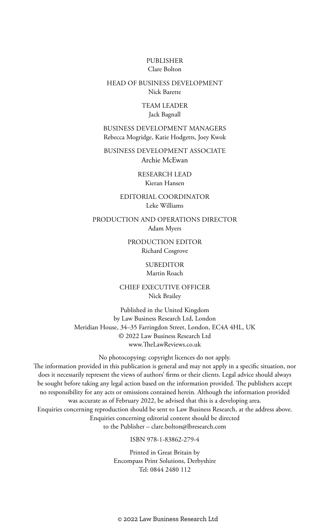#### PUBLISHER Clare Bolton

#### HEAD OF BUSINESS DEVELOPMENT Nick Barette

#### TEAM LEADER Jack Bagnall

BUSINESS DEVELOPMENT MANAGERS Rebecca Mogridge, Katie Hodgetts, Joey Kwok

BUSINESS DEVELOPMENT ASSOCIATE Archie McEwan

> RESEARCH LEAD Kieran Hansen

EDITORIAL COORDINATOR Leke Williams

PRODUCTION AND OPERATIONS DIRECTOR Adam Myers

> PRODUCTION EDITOR Richard Cosgrove

> > SUBEDITOR Martin Roach

CHIEF EXECUTIVE OFFICER Nick Brailey

Published in the United Kingdom by Law Business Research Ltd, London Meridian House, 34–35 Farringdon Street, London, EC4A 4HL, UK © 2022 Law Business Research Ltd www.TheLawReviews.co.uk

No photocopying: copyright licences do not apply. The information provided in this publication is general and may not apply in a specific situation, nor does it necessarily represent the views of authors' firms or their clients. Legal advice should always be sought before taking any legal action based on the information provided. The publishers accept no responsibility for any acts or omissions contained herein. Although the information provided was accurate as of February 2022, be advised that this is a developing area. Enquiries concerning reproduction should be sent to Law Business Research, at the address above. Enquiries concerning editorial content should be directed to the Publisher – clare.bolton@lbresearch.com

#### ISBN 978-1-83862-279-4

Printed in Great Britain by Encompass Print Solutions, Derbyshire Tel: 0844 2480 112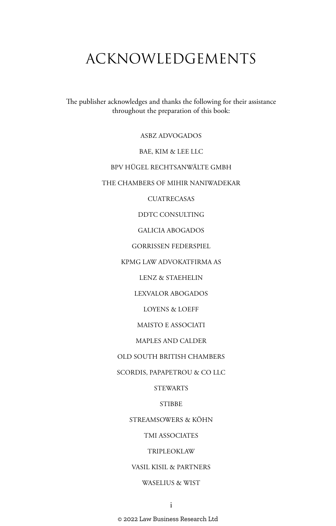## ACKNOWLEDGEMENTS

The publisher acknowledges and thanks the following for their assistance throughout the preparation of this book:

ASBZ ADVOGADOS

BAE, KIM & LEE LLC

#### BPV HÜGEL RECHTSANWÄLTE GMBH

#### THE CHAMBERS OF MIHIR NANIWADEKAR

**CUATRECASAS** 

DDTC CONSULTING

GALICIA ABOGADOS

GORRISSEN FEDERSPIEL

KPMG LAW ADVOKATFIRMA AS

LENZ & STAEHELIN

LEXVALOR ABOGADOS

LOYENS & LOEFF

MAISTO E ASSOCIATI

MAPLES AND CALDER

OLD SOUTH BRITISH CHAMBERS

SCORDIS, PAPAPETROU & CO LLC

STEWARTS

**STIBBE** 

STREAMSOWERS & KÖHN

TMI ASSOCIATES

TRIPLEOKLAW

VASIL KISIL & PARTNERS

#### WASELIUS & WIST

© 2022 Law Business Research Ltd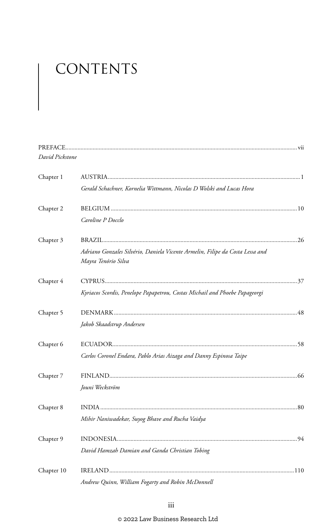# CONTENTS

| David Pickstone |                                                                                                      |  |
|-----------------|------------------------------------------------------------------------------------------------------|--|
| Chapter 1       |                                                                                                      |  |
|                 | Gerald Schachner, Kornelia Wittmann, Nicolas D Wolski and Lucas Hora                                 |  |
| Chapter 2       |                                                                                                      |  |
|                 | Caroline P Docclo                                                                                    |  |
| Chapter 3       |                                                                                                      |  |
|                 | Adriano Gonzales Silvério, Daniela Vicente Armelin, Filipe da Costa Lessa and<br>Mayra Tenório Silva |  |
| Chapter 4       |                                                                                                      |  |
|                 | Kyriacos Scordis, Penelope Papapetrou, Costas Michail and Phoebe Papageorgi                          |  |
| Chapter 5       |                                                                                                      |  |
|                 | Jakob Skaadstrup Andersen                                                                            |  |
| Chapter 6       |                                                                                                      |  |
|                 | Carlos Coronel Endara, Pablo Arias Aizaga and Danny Espinosa Taipe                                   |  |
| Chapter 7       |                                                                                                      |  |
|                 | Jouni Weckström                                                                                      |  |
| Chapter 8       |                                                                                                      |  |
|                 | Mihir Naniwadekar, Suyog Bhave and Rucha Vaidya                                                      |  |
| Chapter 9       |                                                                                                      |  |
|                 | David Hamzah Damian and Ganda Christian Tobing                                                       |  |
| Chapter 10      |                                                                                                      |  |
|                 | Andrew Quinn, William Fogarty and Robin McDonnell                                                    |  |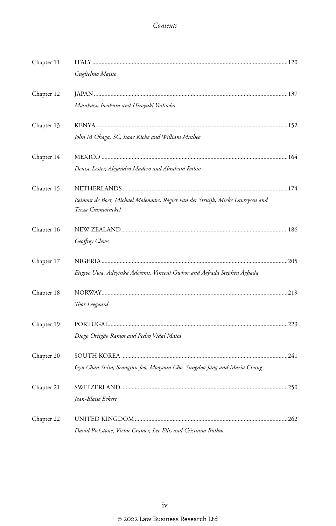| Chapter 11 |                                                                                                      |  |
|------------|------------------------------------------------------------------------------------------------------|--|
|            | Guglielmo Maisto                                                                                     |  |
| Chapter 12 |                                                                                                      |  |
|            | Masakazu Iwakura and Hiroyuki Yoshioka                                                               |  |
| Chapter 13 |                                                                                                      |  |
|            | John M Ohaga, SC, Isaac Kiche and William Muthee                                                     |  |
| Chapter 14 |                                                                                                      |  |
|            | Denise Lester, Alejandro Madero and Abraham Rubio                                                    |  |
| Chapter 15 |                                                                                                      |  |
|            | Reinout de Boer, Michael Molenaars, Rogier van der Struijk, Mieke Lavreysen and<br>Tirza Cramwinckel |  |
| Chapter 16 |                                                                                                      |  |
|            | Geoffrey Clews                                                                                       |  |
| Chapter 17 |                                                                                                      |  |
|            | Etigwe Uwa, Adeyinka Aderemi, Vincent Owhor and Agbada Stephen Agbada                                |  |
| Chapter 18 |                                                                                                      |  |
|            | Thor Leegaard                                                                                        |  |
| Chapter 19 |                                                                                                      |  |
|            | Diogo Ortigão Ramos and Pedro Vidal Matos                                                            |  |
| Chapter 20 |                                                                                                      |  |
|            | Gyu Chan Shim, Seongjun Joo, Mooyoun Cho, Sungdoo Jang and Maria Chang                               |  |
| Chapter 21 |                                                                                                      |  |
|            | Jean-Blaise Eckert                                                                                   |  |
| Chapter 22 |                                                                                                      |  |
|            | David Pickstone, Victor Cramer, Lee Ellis and Cristiana Bulbuc                                       |  |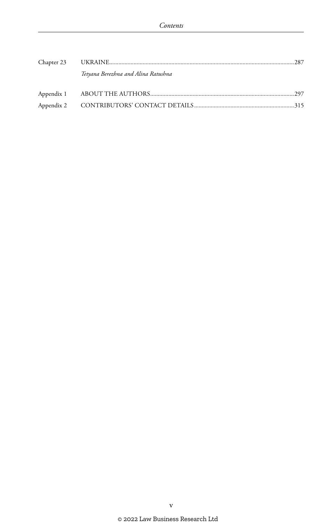| Tetyana Berezhna and Alina Ratushna |  |
|-------------------------------------|--|
|                                     |  |
|                                     |  |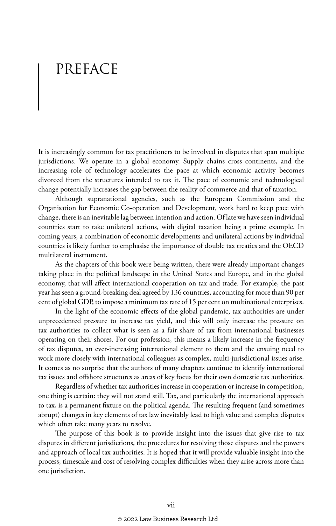# PREFACE

It is increasingly common for tax practitioners to be involved in disputes that span multiple jurisdictions. We operate in a global economy. Supply chains cross continents, and the increasing role of technology accelerates the pace at which economic activity becomes divorced from the structures intended to tax it. The pace of economic and technological change potentially increases the gap between the reality of commerce and that of taxation.

Although supranational agencies, such as the European Commission and the Organisation for Economic Co-operation and Development, work hard to keep pace with change, there is an inevitable lag between intention and action. Of late we have seen individual countries start to take unilateral actions, with digital taxation being a prime example. In coming years, a combination of economic developments and unilateral actions by individual countries is likely further to emphasise the importance of double tax treaties and the OECD multilateral instrument.

As the chapters of this book were being written, there were already important changes taking place in the political landscape in the United States and Europe, and in the global economy, that will affect international cooperation on tax and trade. For example, the past year has seen a ground-breaking deal agreed by 136 countries, accounting for more than 90 per cent of global GDP, to impose a minimum tax rate of 15 per cent on multinational enterprises.

In the light of the economic effects of the global pandemic, tax authorities are under unprecedented pressure to increase tax yield, and this will only increase the pressure on tax authorities to collect what is seen as a fair share of tax from international businesses operating on their shores. For our profession, this means a likely increase in the frequency of tax disputes, an ever-increasing international element to them and the ensuing need to work more closely with international colleagues as complex, multi-jurisdictional issues arise. It comes as no surprise that the authors of many chapters continue to identify international tax issues and offshore structures as areas of key focus for their own domestic tax authorities.

Regardless of whether tax authorities increase in cooperation or increase in competition, one thing is certain: they will not stand still. Tax, and particularly the international approach to tax, is a permanent fixture on the political agenda. The resulting frequent (and sometimes abrupt) changes in key elements of tax law inevitably lead to high value and complex disputes which often take many years to resolve.

The purpose of this book is to provide insight into the issues that give rise to tax disputes in different jurisdictions, the procedures for resolving those disputes and the powers and approach of local tax authorities. It is hoped that it will provide valuable insight into the process, timescale and cost of resolving complex difficulties when they arise across more than one jurisdiction.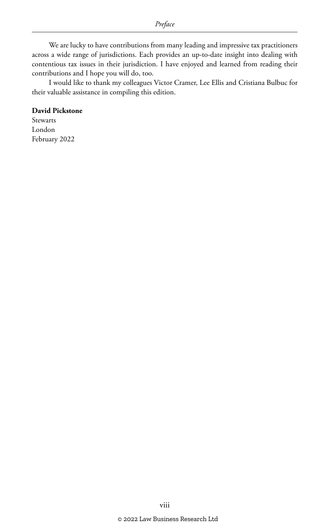We are lucky to have contributions from many leading and impressive tax practitioners across a wide range of jurisdictions. Each provides an up-to-date insight into dealing with contentious tax issues in their jurisdiction. I have enjoyed and learned from reading their contributions and I hope you will do, too.

I would like to thank my colleagues Victor Cramer, Lee Ellis and Cristiana Bulbuc for their valuable assistance in compiling this edition.

#### **David Pickstone**

Stewarts London February 2022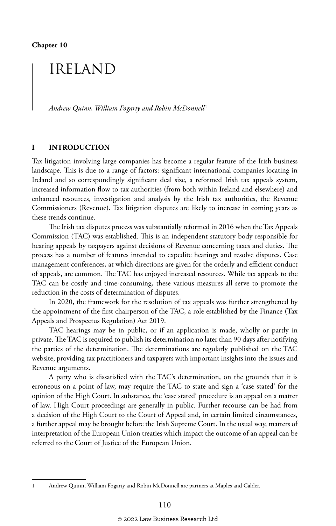### IRELAND

*Andrew Quinn, William Fogarty and Robin McDonnell* <sup>1</sup>

#### **I INTRODUCTION**

Tax litigation involving large companies has become a regular feature of the Irish business landscape. This is due to a range of factors: significant international companies locating in Ireland and so correspondingly significant deal size, a reformed Irish tax appeals system, increased information flow to tax authorities (from both within Ireland and elsewhere) and enhanced resources, investigation and analysis by the Irish tax authorities, the Revenue Commissioners (Revenue). Tax litigation disputes are likely to increase in coming years as these trends continue.

The Irish tax disputes process was substantially reformed in 2016 when the Tax Appeals Commission (TAC) was established. This is an independent statutory body responsible for hearing appeals by taxpayers against decisions of Revenue concerning taxes and duties. The process has a number of features intended to expedite hearings and resolve disputes. Case management conferences, at which directions are given for the orderly and efficient conduct of appeals, are common. The TAC has enjoyed increased resources. While tax appeals to the TAC can be costly and time-consuming, these various measures all serve to promote the reduction in the costs of determination of disputes.

In 2020, the framework for the resolution of tax appeals was further strengthened by the appointment of the first chairperson of the TAC, a role established by the Finance (Tax Appeals and Prospectus Regulation) Act 2019.

TAC hearings may be in public, or if an application is made, wholly or partly in private. The TAC is required to publish its determination no later than 90 days after notifying the parties of the determination. The determinations are regularly published on the TAC website, providing tax practitioners and taxpayers with important insights into the issues and Revenue arguments.

A party who is dissatisfied with the TAC's determination, on the grounds that it is erroneous on a point of law, may require the TAC to state and sign a 'case stated' for the opinion of the High Court. In substance, the 'case stated' procedure is an appeal on a matter of law. High Court proceedings are generally in public. Further recourse can be had from a decision of the High Court to the Court of Appeal and, in certain limited circumstances, a further appeal may be brought before the Irish Supreme Court. In the usual way, matters of interpretation of the European Union treaties which impact the outcome of an appeal can be referred to the Court of Justice of the European Union.

<sup>1</sup> Andrew Quinn, William Fogarty and Robin McDonnell are partners at Maples and Calder.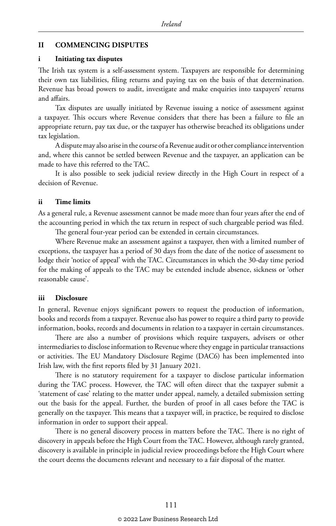#### **II COMMENCING DISPUTES**

#### **i Initiating tax disputes**

The Irish tax system is a self-assessment system. Taxpayers are responsible for determining their own tax liabilities, filing returns and paying tax on the basis of that determination. Revenue has broad powers to audit, investigate and make enquiries into taxpayers' returns and affairs.

Tax disputes are usually initiated by Revenue issuing a notice of assessment against a taxpayer. This occurs where Revenue considers that there has been a failure to file an appropriate return, pay tax due, or the taxpayer has otherwise breached its obligations under tax legislation.

A dispute may also arise in the course of a Revenue audit or other compliance intervention and, where this cannot be settled between Revenue and the taxpayer, an application can be made to have this referred to the TAC.

It is also possible to seek judicial review directly in the High Court in respect of a decision of Revenue.

#### **ii Time limits**

As a general rule, a Revenue assessment cannot be made more than four years after the end of the accounting period in which the tax return in respect of such chargeable period was filed.

The general four-year period can be extended in certain circumstances.

Where Revenue make an assessment against a taxpayer, then with a limited number of exceptions, the taxpayer has a period of 30 days from the date of the notice of assessment to lodge their 'notice of appeal' with the TAC. Circumstances in which the 30-day time period for the making of appeals to the TAC may be extended include absence, sickness or 'other reasonable cause'.

#### **iii Disclosure**

In general, Revenue enjoys significant powers to request the production of information, books and records from a taxpayer. Revenue also has power to require a third party to provide information, books, records and documents in relation to a taxpayer in certain circumstances.

There are also a number of provisions which require taxpayers, advisers or other intermediaries to disclose information to Revenue where they engage in particular transactions or activities. The EU Mandatory Disclosure Regime (DAC6) has been implemented into Irish law, with the first reports filed by 31 January 2021.

There is no statutory requirement for a taxpayer to disclose particular information during the TAC process. However, the TAC will often direct that the taxpayer submit a 'statement of case' relating to the matter under appeal, namely, a detailed submission setting out the basis for the appeal. Further, the burden of proof in all cases before the TAC is generally on the taxpayer. This means that a taxpayer will, in practice, be required to disclose information in order to support their appeal.

There is no general discovery process in matters before the TAC. There is no right of discovery in appeals before the High Court from the TAC. However, although rarely granted, discovery is available in principle in judicial review proceedings before the High Court where the court deems the documents relevant and necessary to a fair disposal of the matter.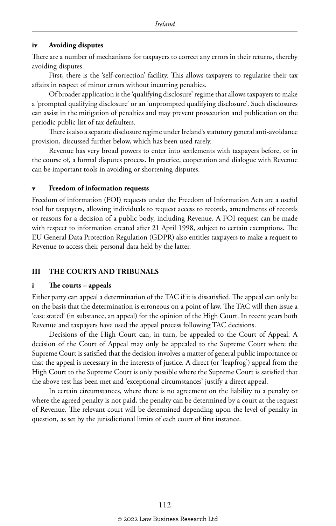#### **iv Avoiding disputes**

There are a number of mechanisms for taxpayers to correct any errors in their returns, thereby avoiding disputes.

First, there is the 'self-correction' facility. This allows taxpayers to regularise their tax affairs in respect of minor errors without incurring penalties.

Of broader application is the 'qualifying disclosure' regime that allows taxpayers to make a 'prompted qualifying disclosure' or an 'unprompted qualifying disclosure'. Such disclosures can assist in the mitigation of penalties and may prevent prosecution and publication on the periodic public list of tax defaulters.

There is also a separate disclosure regime under Ireland's statutory general anti-avoidance provision, discussed further below, which has been used rarely.

Revenue has very broad powers to enter into settlements with taxpayers before, or in the course of, a formal disputes process. In practice, cooperation and dialogue with Revenue can be important tools in avoiding or shortening disputes.

#### **v Freedom of information requests**

Freedom of information (FOI) requests under the Freedom of Information Acts are a useful tool for taxpayers, allowing individuals to request access to records, amendments of records or reasons for a decision of a public body, including Revenue. A FOI request can be made with respect to information created after 21 April 1998, subject to certain exemptions. The EU General Data Protection Regulation (GDPR) also entitles taxpayers to make a request to Revenue to access their personal data held by the latter.

#### **III THE COURTS AND TRIBUNALS**

#### **i The courts – appeals**

Either party can appeal a determination of the TAC if it is dissatisfied. The appeal can only be on the basis that the determination is erroneous on a point of law. The TAC will then issue a 'case stated' (in substance, an appeal) for the opinion of the High Court. In recent years both Revenue and taxpayers have used the appeal process following TAC decisions.

Decisions of the High Court can, in turn, be appealed to the Court of Appeal. A decision of the Court of Appeal may only be appealed to the Supreme Court where the Supreme Court is satisfied that the decision involves a matter of general public importance or that the appeal is necessary in the interests of justice. A direct (or 'leapfrog') appeal from the High Court to the Supreme Court is only possible where the Supreme Court is satisfied that the above test has been met and 'exceptional circumstances' justify a direct appeal.

In certain circumstances, where there is no agreement on the liability to a penalty or where the agreed penalty is not paid, the penalty can be determined by a court at the request of Revenue. The relevant court will be determined depending upon the level of penalty in question, as set by the jurisdictional limits of each court of first instance.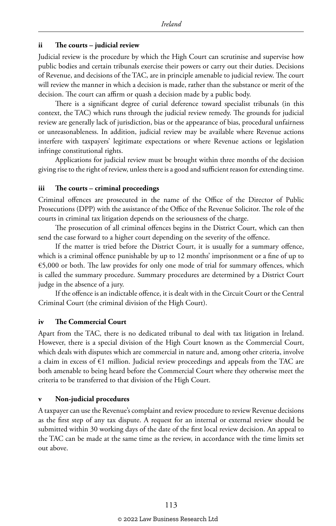#### **ii The courts – judicial review**

Judicial review is the procedure by which the High Court can scrutinise and supervise how public bodies and certain tribunals exercise their powers or carry out their duties. Decisions of Revenue, and decisions of the TAC, are in principle amenable to judicial review. The court will review the manner in which a decision is made, rather than the substance or merit of the decision. The court can affirm or quash a decision made by a public body.

There is a significant degree of curial deference toward specialist tribunals (in this context, the TAC) which runs through the judicial review remedy. The grounds for judicial review are generally lack of jurisdiction, bias or the appearance of bias, procedural unfairness or unreasonableness. In addition, judicial review may be available where Revenue actions interfere with taxpayers' legitimate expectations or where Revenue actions or legislation infringe constitutional rights.

Applications for judicial review must be brought within three months of the decision giving rise to the right of review, unless there is a good and sufficient reason for extending time.

#### **iii The courts – criminal proceedings**

Criminal offences are prosecuted in the name of the Office of the Director of Public Prosecutions (DPP) with the assistance of the Office of the Revenue Solicitor. The role of the courts in criminal tax litigation depends on the seriousness of the charge.

The prosecution of all criminal offences begins in the District Court, which can then send the case forward to a higher court depending on the severity of the offence.

If the matter is tried before the District Court, it is usually for a summary offence, which is a criminal offence punishable by up to 12 months' imprisonment or a fine of up to €5,000 or both. The law provides for only one mode of trial for summary offences, which is called the summary procedure. Summary procedures are determined by a District Court judge in the absence of a jury.

If the offence is an indictable offence, it is dealt with in the Circuit Court or the Central Criminal Court (the criminal division of the High Court).

#### **iv The Commercial Court**

Apart from the TAC, there is no dedicated tribunal to deal with tax litigation in Ireland. However, there is a special division of the High Court known as the Commercial Court, which deals with disputes which are commercial in nature and, among other criteria, involve a claim in excess of €1 million. Judicial review proceedings and appeals from the TAC are both amenable to being heard before the Commercial Court where they otherwise meet the criteria to be transferred to that division of the High Court.

#### **v Non-judicial procedures**

A taxpayer can use the Revenue's complaint and review procedure to review Revenue decisions as the first step of any tax dispute. A request for an internal or external review should be submitted within 30 working days of the date of the first local review decision. An appeal to the TAC can be made at the same time as the review, in accordance with the time limits set out above.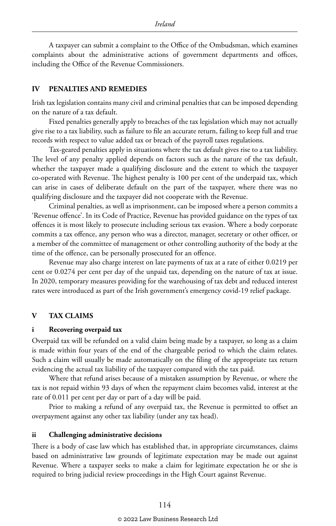A taxpayer can submit a complaint to the Office of the Ombudsman, which examines complaints about the administrative actions of government departments and offices, including the Office of the Revenue Commissioners.

#### **IV PENALTIES AND REMEDIES**

Irish tax legislation contains many civil and criminal penalties that can be imposed depending on the nature of a tax default.

Fixed penalties generally apply to breaches of the tax legislation which may not actually give rise to a tax liability, such as failure to file an accurate return, failing to keep full and true records with respect to value added tax or breach of the payroll taxes regulations.

Tax-geared penalties apply in situations where the tax default gives rise to a tax liability. The level of any penalty applied depends on factors such as the nature of the tax default, whether the taxpayer made a qualifying disclosure and the extent to which the taxpayer co-operated with Revenue. The highest penalty is 100 per cent of the underpaid tax, which can arise in cases of deliberate default on the part of the taxpayer, where there was no qualifying disclosure and the taxpayer did not cooperate with the Revenue.

Criminal penalties, as well as imprisonment, can be imposed where a person commits a 'Revenue offence'. In its Code of Practice, Revenue has provided guidance on the types of tax offences it is most likely to prosecute including serious tax evasion. Where a body corporate commits a tax offence, any person who was a director, manager, secretary or other officer, or a member of the committee of management or other controlling authority of the body at the time of the offence, can be personally prosecuted for an offence.

Revenue may also charge interest on late payments of tax at a rate of either 0.0219 per cent or 0.0274 per cent per day of the unpaid tax, depending on the nature of tax at issue. In 2020, temporary measures providing for the warehousing of tax debt and reduced interest rates were introduced as part of the Irish government's emergency covid-19 relief package.

#### **V TAX CLAIMS**

#### **i Recovering overpaid tax**

Overpaid tax will be refunded on a valid claim being made by a taxpayer, so long as a claim is made within four years of the end of the chargeable period to which the claim relates. Such a claim will usually be made automatically on the filing of the appropriate tax return evidencing the actual tax liability of the taxpayer compared with the tax paid.

Where that refund arises because of a mistaken assumption by Revenue, or where the tax is not repaid within 93 days of when the repayment claim becomes valid, interest at the rate of 0.011 per cent per day or part of a day will be paid.

Prior to making a refund of any overpaid tax, the Revenue is permitted to offset an overpayment against any other tax liability (under any tax head).

#### **ii Challenging administrative decisions**

There is a body of case law which has established that, in appropriate circumstances, claims based on administrative law grounds of legitimate expectation may be made out against Revenue. Where a taxpayer seeks to make a claim for legitimate expectation he or she is required to bring judicial review proceedings in the High Court against Revenue.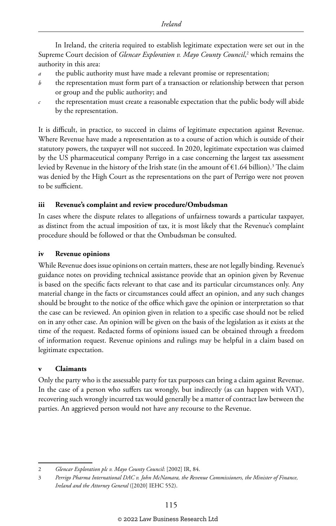In Ireland, the criteria required to establish legitimate expectation were set out in the Supreme Court decision of *Glencar Exploration v. Mayo County Council,*<sup>2</sup> which remains the authority in this area:

- the public authority must have made a relevant promise or representation;
- *b* the representation must form part of a transaction or relationship between that person or group and the public authority; and
- the representation must create a reasonable expectation that the public body will abide by the representation.

It is difficult, in practice, to succeed in claims of legitimate expectation against Revenue. Where Revenue have made a representation as to a course of action which is outside of their statutory powers, the taxpayer will not succeed. In 2020, legitimate expectation was claimed by the US pharmaceutical company Perrigo in a case concerning the largest tax assessment levied by Revenue in the history of the Irish state (in the amount of  $\epsilon$ 1.64 billion). $^3$  The claim was denied by the High Court as the representations on the part of Perrigo were not proven to be sufficient.

#### **iii Revenue's complaint and review procedure/Ombudsman**

In cases where the dispute relates to allegations of unfairness towards a particular taxpayer, as distinct from the actual imposition of tax, it is most likely that the Revenue's complaint procedure should be followed or that the Ombudsman be consulted.

#### **iv Revenue opinions**

While Revenue does issue opinions on certain matters, these are not legally binding. Revenue's guidance notes on providing technical assistance provide that an opinion given by Revenue is based on the specific facts relevant to that case and its particular circumstances only. Any material change in the facts or circumstances could affect an opinion, and any such changes should be brought to the notice of the office which gave the opinion or interpretation so that the case can be reviewed. An opinion given in relation to a specific case should not be relied on in any other case. An opinion will be given on the basis of the legislation as it exists at the time of the request. Redacted forms of opinions issued can be obtained through a freedom of information request. Revenue opinions and rulings may be helpful in a claim based on legitimate expectation.

#### **v Claimants**

Only the party who is the assessable party for tax purposes can bring a claim against Revenue. In the case of a person who suffers tax wrongly, but indirectly (as can happen with VAT), recovering such wrongly incurred tax would generally be a matter of contract law between the parties. An aggrieved person would not have any recourse to the Revenue.

<sup>2</sup> *Glencar Exploration plc v. Mayo County Council*: [2002] IR, 84.

<sup>3</sup> *Perrigo Pharma International DAC v. John McNamara, the Revenue Commissioners, the Minister of Finance, Ireland and the Attorney General* ([2020] IEHC 552).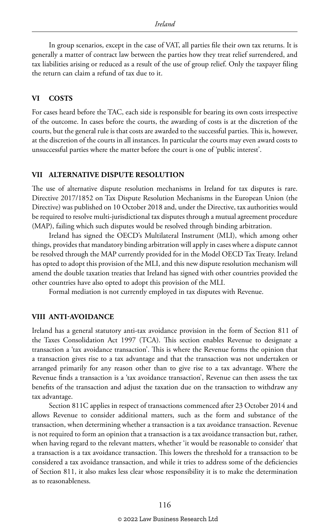In group scenarios, except in the case of VAT, all parties file their own tax returns. It is generally a matter of contract law between the parties how they treat relief surrendered, and tax liabilities arising or reduced as a result of the use of group relief. Only the taxpayer filing the return can claim a refund of tax due to it.

#### **VI COSTS**

For cases heard before the TAC, each side is responsible for bearing its own costs irrespective of the outcome. In cases before the courts, the awarding of costs is at the discretion of the courts, but the general rule is that costs are awarded to the successful parties. This is, however, at the discretion of the courts in all instances. In particular the courts may even award costs to unsuccessful parties where the matter before the court is one of 'public interest'.

#### **VII ALTERNATIVE DISPUTE RESOLUTION**

The use of alternative dispute resolution mechanisms in Ireland for tax disputes is rare. Directive 2017/1852 on Tax Dispute Resolution Mechanisms in the European Union (the Directive) was published on 10 October 2018 and, under the Directive, tax authorities would be required to resolve multi-jurisdictional tax disputes through a mutual agreement procedure (MAP), failing which such disputes would be resolved through binding arbitration.

Ireland has signed the OECD's Multilateral Instrument (MLI), which among other things, provides that mandatory binding arbitration will apply in cases where a dispute cannot be resolved through the MAP currently provided for in the Model OECD Tax Treaty. Ireland has opted to adopt this provision of the MLI, and this new dispute resolution mechanism will amend the double taxation treaties that Ireland has signed with other countries provided the other countries have also opted to adopt this provision of the MLI.

Formal mediation is not currently employed in tax disputes with Revenue.

#### **VIII ANTI-AVOIDANCE**

Ireland has a general statutory anti-tax avoidance provision in the form of Section 811 of the Taxes Consolidation Act 1997 (TCA). This section enables Revenue to designate a transaction a 'tax avoidance transaction'. This is where the Revenue forms the opinion that a transaction gives rise to a tax advantage and that the transaction was not undertaken or arranged primarily for any reason other than to give rise to a tax advantage. Where the Revenue finds a transaction is a 'tax avoidance transaction', Revenue can then assess the tax benefits of the transaction and adjust the taxation due on the transaction to withdraw any tax advantage.

Section 811C applies in respect of transactions commenced after 23 October 2014 and allows Revenue to consider additional matters, such as the form and substance of the transaction, when determining whether a transaction is a tax avoidance transaction. Revenue is not required to form an opinion that a transaction is a tax avoidance transaction but, rather, when having regard to the relevant matters, whether 'it would be reasonable to consider' that a transaction is a tax avoidance transaction. This lowers the threshold for a transaction to be considered a tax avoidance transaction, and while it tries to address some of the deficiencies of Section 811, it also makes less clear whose responsibility it is to make the determination as to reasonableness.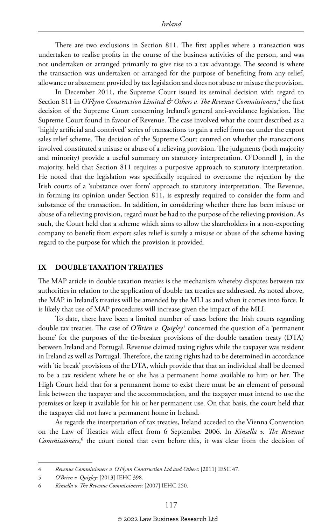There are two exclusions in Section 811. The first applies where a transaction was undertaken to realise profits in the course of the business activities of the person, and was not undertaken or arranged primarily to give rise to a tax advantage. The second is where the transaction was undertaken or arranged for the purpose of benefiting from any relief, allowance or abatement provided by tax legislation and does not abuse or misuse the provision.

In December 2011, the Supreme Court issued its seminal decision with regard to Section 811 in *O'Flynn Construction Limited & Others v. The Revenue Commissioners,*<sup>4</sup> the first decision of the Supreme Court concerning Ireland's general anti-avoidance legislation. The Supreme Court found in favour of Revenue. The case involved what the court described as a 'highly artificial and contrived' series of transactions to gain a relief from tax under the export sales relief scheme. The decision of the Supreme Court centred on whether the transactions involved constituted a misuse or abuse of a relieving provision. The judgments (both majority and minority) provide a useful summary on statutory interpretation. O'Donnell J, in the majority, held that Section 811 requires a purposive approach to statutory interpretation. He noted that the legislation was specifically required to overcome the rejection by the Irish courts of a 'substance over form' approach to statutory interpretation. The Revenue, in forming its opinion under Section 811, is expressly required to consider the form and substance of the transaction. In addition, in considering whether there has been misuse or abuse of a relieving provision, regard must be had to the purpose of the relieving provision. As such, the Court held that a scheme which aims to allow the shareholders in a non-exporting company to benefit from export sales relief is surely a misuse or abuse of the scheme having regard to the purpose for which the provision is provided.

#### **IX DOUBLE TAXATION TREATIES**

The MAP article in double taxation treaties is the mechanism whereby disputes between tax authorities in relation to the application of double tax treaties are addressed. As noted above, the MAP in Ireland's treaties will be amended by the MLI as and when it comes into force. It is likely that use of MAP procedures will increase given the impact of the MLI.

To date, there have been a limited number of cases before the Irish courts regarding double tax treaties. The case of *O'Brien v. Quigley<sup>5</sup>* concerned the question of a 'permanent home' for the purposes of the tie-breaker provisions of the double taxation treaty (DTA) between Ireland and Portugal. Revenue claimed taxing rights while the taxpayer was resident in Ireland as well as Portugal. Therefore, the taxing rights had to be determined in accordance with 'tie break' provisions of the DTA, which provide that that an individual shall be deemed to be a tax resident where he or she has a permanent home available to him or her. The High Court held that for a permanent home to exist there must be an element of personal link between the taxpayer and the accommodation, and the taxpayer must intend to use the premises or keep it available for his or her permanent use. On that basis, the court held that the taxpayer did not have a permanent home in Ireland.

As regards the interpretation of tax treaties, Ireland acceded to the Vienna Convention on the Law of Treaties with effect from 6 September 2006. In *Kinsella v. The Revenue*  Commissioners,<sup>6</sup> the court noted that even before this, it was clear from the decision of

<sup>4</sup> *Revenue Commissioners v. O'Flynn Construction Ltd and Others*: [2011] IESC 47.

<sup>5</sup> *O'Brien v. Quigley*: [2013] IEHC 398.

<sup>6</sup> *Kinsella v. The Revenue Commissioners*: [2007] IEHC 250.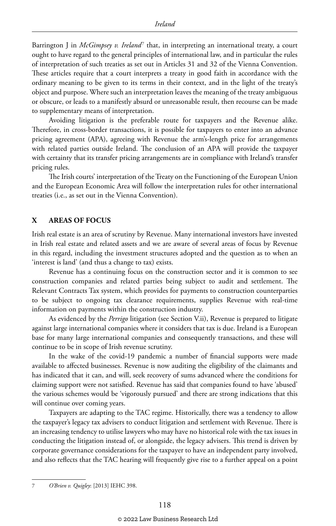Barrington J in *McGimpsey v. Ireland<sup>7</sup>* that, in interpreting an international treaty, a court ought to have regard to the general principles of international law, and in particular the rules of interpretation of such treaties as set out in Articles 31 and 32 of the Vienna Convention. These articles require that a court interprets a treaty in good faith in accordance with the ordinary meaning to be given to its terms in their context, and in the light of the treaty's object and purpose. Where such an interpretation leaves the meaning of the treaty ambiguous or obscure, or leads to a manifestly absurd or unreasonable result, then recourse can be made to supplementary means of interpretation.

Avoiding litigation is the preferable route for taxpayers and the Revenue alike. Therefore, in cross-border transactions, it is possible for taxpayers to enter into an advance pricing agreement (APA), agreeing with Revenue the arm's-length price for arrangements with related parties outside Ireland. The conclusion of an APA will provide the taxpayer with certainty that its transfer pricing arrangements are in compliance with Ireland's transfer pricing rules.

The Irish courts' interpretation of the Treaty on the Functioning of the European Union and the European Economic Area will follow the interpretation rules for other international treaties (i.e., as set out in the Vienna Convention).

#### **X AREAS OF FOCUS**

Irish real estate is an area of scrutiny by Revenue. Many international investors have invested in Irish real estate and related assets and we are aware of several areas of focus by Revenue in this regard, including the investment structures adopted and the question as to when an 'interest is land' (and thus a change to tax) exists.

Revenue has a continuing focus on the construction sector and it is common to see construction companies and related parties being subject to audit and settlement. The Relevant Contracts Tax system, which provides for payments to construction counterparties to be subject to ongoing tax clearance requirements, supplies Revenue with real-time information on payments within the construction industry.

As evidenced by the *Perrigo* litigation (see Section V.ii), Revenue is prepared to litigate against large international companies where it considers that tax is due. Ireland is a European base for many large international companies and consequently transactions, and these will continue to be in scope of Irish revenue scrutiny.

In the wake of the covid-19 pandemic a number of financial supports were made available to affected businesses. Revenue is now auditing the eligibility of the claimants and has indicated that it can, and will, seek recovery of sums advanced where the conditions for claiming support were not satisfied. Revenue has said that companies found to have 'abused' the various schemes would be 'vigorously pursued' and there are strong indications that this will continue over coming years.

Taxpayers are adapting to the TAC regime. Historically, there was a tendency to allow the taxpayer's legacy tax advisers to conduct litigation and settlement with Revenue. There is an increasing tendency to utilise lawyers who may have no historical role with the tax issues in conducting the litigation instead of, or alongside, the legacy advisers. This trend is driven by corporate governance considerations for the taxpayer to have an independent party involved, and also reflects that the TAC hearing will frequently give rise to a further appeal on a point

<sup>7</sup> *O'Brien v. Quigley*: [2013] IEHC 398.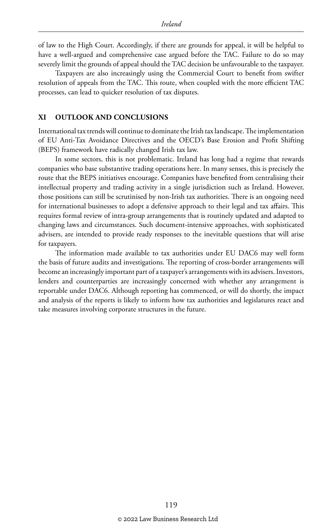of law to the High Court. Accordingly, if there are grounds for appeal, it will be helpful to have a well-argued and comprehensive case argued before the TAC. Failure to do so may severely limit the grounds of appeal should the TAC decision be unfavourable to the taxpayer.

Taxpayers are also increasingly using the Commercial Court to benefit from swifter resolution of appeals from the TAC. This route, when coupled with the more efficient TAC processes, can lead to quicker resolution of tax disputes.

#### **XI OUTLOOK AND CONCLUSIONS**

International tax trends will continue to dominate the Irish tax landscape. The implementation of EU Anti-Tax Avoidance Directives and the OECD's Base Erosion and Profit Shifting (BEPS) framework have radically changed Irish tax law.

In some sectors, this is not problematic. Ireland has long had a regime that rewards companies who base substantive trading operations here. In many senses, this is precisely the route that the BEPS initiatives encourage. Companies have benefited from centralising their intellectual property and trading activity in a single jurisdiction such as Ireland. However, those positions can still be scrutinised by non-Irish tax authorities. There is an ongoing need for international businesses to adopt a defensive approach to their legal and tax affairs. This requires formal review of intra-group arrangements that is routinely updated and adapted to changing laws and circumstances. Such document-intensive approaches, with sophisticated advisers, are intended to provide ready responses to the inevitable questions that will arise for taxpayers.

The information made available to tax authorities under EU DAC6 may well form the basis of future audits and investigations. The reporting of cross-border arrangements will become an increasingly important part of a taxpayer's arrangements with its advisers. Investors, lenders and counterparties are increasingly concerned with whether any arrangement is reportable under DAC6. Although reporting has commenced, or will do shortly, the impact and analysis of the reports is likely to inform how tax authorities and legislatures react and take measures involving corporate structures in the future.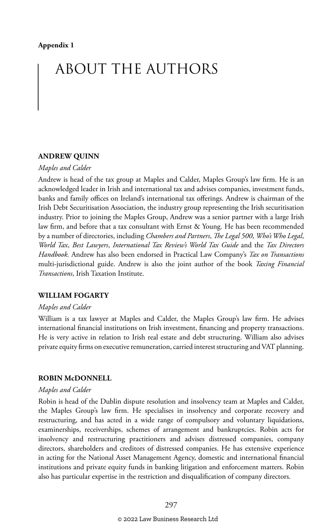# ABOUT THE AUTHORS

#### **ANDREW QUINN**

#### *Maples and Calder*

Andrew is head of the tax group at Maples and Calder, Maples Group's law firm. He is an acknowledged leader in Irish and international tax and advises companies, investment funds, banks and family offices on Ireland's international tax offerings. Andrew is chairman of the Irish Debt Securitisation Association, the industry group representing the Irish securitisation industry. Prior to joining the Maples Group, Andrew was a senior partner with a large Irish law firm, and before that a tax consultant with Ernst & Young. He has been recommended by a number of directories, including *Chambers and Partners*, *The Legal 500*, *Who's Who Legal*, *World Tax*, *Best Lawyers*, *International Tax Review's World Tax Guide* and the *Tax Directors Handbook.* Andrew has also been endorsed in Practical Law Company's *Tax on Transactions* multi-jurisdictional guide. Andrew is also the joint author of the book *Taxing Financial Transactions*, Irish Taxation Institute.

#### **WILLIAM FOGARTY**

#### *Maples and Calder*

William is a tax lawyer at Maples and Calder, the Maples Group's law firm. He advises international financial institutions on Irish investment, financing and property transactions. He is very active in relation to Irish real estate and debt structuring. William also advises private equity firms on executive remuneration, carried interest structuring and VAT planning.

#### **ROBIN McDONNELL**

#### *Maples and Calder*

Robin is head of the Dublin dispute resolution and insolvency team at Maples and Calder, the Maples Group's law firm. He specialises in insolvency and corporate recovery and restructuring, and has acted in a wide range of compulsory and voluntary liquidations, examinerships, receiverships, schemes of arrangement and bankruptcies. Robin acts for insolvency and restructuring practitioners and advises distressed companies, company directors, shareholders and creditors of distressed companies. He has extensive experience in acting for the National Asset Management Agency, domestic and international financial institutions and private equity funds in banking litigation and enforcement matters. Robin also has particular expertise in the restriction and disqualification of company directors.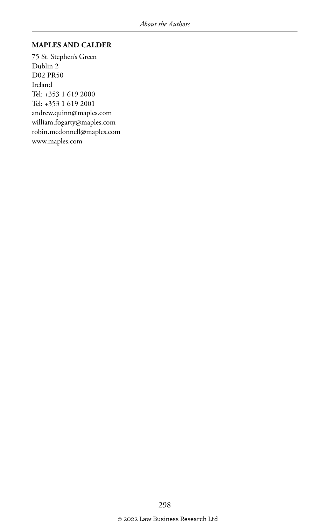#### **MAPLES AND CALDER**

75 St. Stephen's Green Dublin 2 D02 PR50 Ireland Tel: +353 1 619 2000 Tel: +353 1 619 2001 andrew.quinn@maples.com william.fogarty@maples.com robin.mcdonnell@maples.com www.maples.com